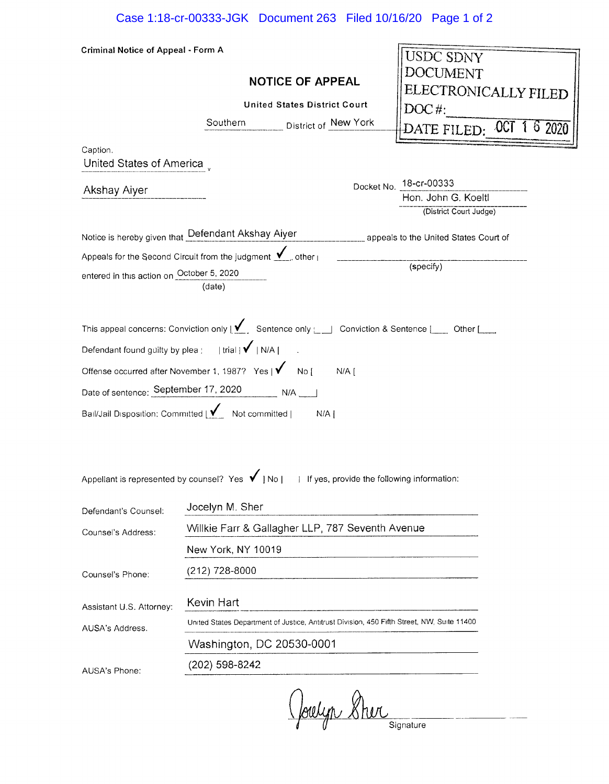| <b>Criminal Notice of Appeal - Form A</b>                                                                               |                                                                                                                                              |  |                                               |  |  |
|-------------------------------------------------------------------------------------------------------------------------|----------------------------------------------------------------------------------------------------------------------------------------------|--|-----------------------------------------------|--|--|
|                                                                                                                         |                                                                                                                                              |  | <b>USDC SDNY</b>                              |  |  |
|                                                                                                                         | <b>NOTICE OF APPEAL</b><br><b>United States District Court</b>                                                                               |  | DOCUMENT                                      |  |  |
|                                                                                                                         |                                                                                                                                              |  | ELECTRONICALLY FILED<br>DOC#:                 |  |  |
|                                                                                                                         | Southern <b>District of New York</b>                                                                                                         |  | DATE FILED: 0CT 1 6 2020                      |  |  |
|                                                                                                                         |                                                                                                                                              |  |                                               |  |  |
| Caption.<br>United States of America,                                                                                   |                                                                                                                                              |  |                                               |  |  |
| Akshay Aiyer                                                                                                            | Docket No. 18-cr-00333                                                                                                                       |  |                                               |  |  |
|                                                                                                                         |                                                                                                                                              |  | Hon. John G. Koeltl<br>(District Court Judge) |  |  |
|                                                                                                                         | Notice is hereby given that Defendant Akshay Aiyer<br>management appeals to the United States Court of                                       |  |                                               |  |  |
|                                                                                                                         |                                                                                                                                              |  |                                               |  |  |
| Appeals for the Second Circuit from the judgment $\mathbf{V}_{\text{max}}$ other $\mathbf{V}_{\text{max}}$<br>(specify) |                                                                                                                                              |  |                                               |  |  |
| entered in this action on October 5, 2020                                                                               | (date)                                                                                                                                       |  |                                               |  |  |
|                                                                                                                         |                                                                                                                                              |  |                                               |  |  |
|                                                                                                                         | This appeal concerns: Conviction only $\sum$ Sentence only $\lfloor \rfloor$ Conviction & Sentence $\lfloor \rfloor$ Other $\lfloor \rfloor$ |  |                                               |  |  |
| Defendant found guilty by plea $ $   trial $ $ $\checkmark$   N/A                                                       |                                                                                                                                              |  |                                               |  |  |
|                                                                                                                         | Offense occurred after November 1, 1987? Yes   V No [ N/A [                                                                                  |  |                                               |  |  |
|                                                                                                                         | Date of sentence: September 17, 2020 N/A ___                                                                                                 |  |                                               |  |  |
|                                                                                                                         | Bail/Jail Disposition: Committed   / Not committed  <br>N/A                                                                                  |  |                                               |  |  |
|                                                                                                                         |                                                                                                                                              |  |                                               |  |  |
|                                                                                                                         |                                                                                                                                              |  |                                               |  |  |
|                                                                                                                         |                                                                                                                                              |  |                                               |  |  |
|                                                                                                                         | Appellant is represented by counsel? Yes $\bigvee$   No         If yes, provide the following information:                                   |  |                                               |  |  |
| Defendant's Counsel:                                                                                                    | Jocelyn M. Sher                                                                                                                              |  |                                               |  |  |
| Counsel's Address:                                                                                                      | Willkie Farr & Gallagher LLP, 787 Seventh Avenue                                                                                             |  |                                               |  |  |
|                                                                                                                         | New York, NY 10019                                                                                                                           |  |                                               |  |  |
| Counsel's Phone:                                                                                                        | (212) 728-8000                                                                                                                               |  |                                               |  |  |
|                                                                                                                         | Kevin Hart                                                                                                                                   |  |                                               |  |  |
| Assistant U.S. Attorney:                                                                                                | United States Department of Justice, Antitrust Division, 450 Fifth Street, NW, Suite 11400                                                   |  |                                               |  |  |
| AUSA's Address.                                                                                                         |                                                                                                                                              |  |                                               |  |  |
|                                                                                                                         | Washington, DC 20530-0001                                                                                                                    |  |                                               |  |  |
| AUSA's Phone:                                                                                                           | (202) 598-8242                                                                                                                               |  |                                               |  |  |
|                                                                                                                         |                                                                                                                                              |  |                                               |  |  |

(Joulyn Shirt Signature